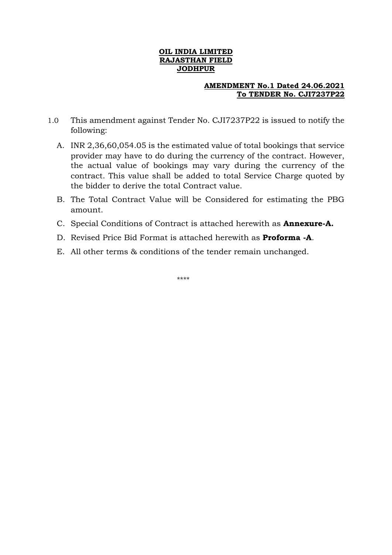### **OIL INDIA LIMITED RAJASTHAN FIELD JODHPUR**

### **AMENDMENT No.1 Dated 24.06.2021 To TENDER No. CJI7237P22**

- 1.0 This amendment against Tender No. CJI7237P22 is issued to notify the following:
	- A. INR 2,36,60,054.05 is the estimated value of total bookings that service provider may have to do during the currency of the contract. However, the actual value of bookings may vary during the currency of the contract. This value shall be added to total Service Charge quoted by the bidder to derive the total Contract value.
	- B. The Total Contract Value will be Considered for estimating the PBG amount.
	- C. Special Conditions of Contract is attached herewith as **Annexure-A.**
	- D. Revised Price Bid Format is attached herewith as **Proforma -A**.
	- E. All other terms & conditions of the tender remain unchanged.

\*\*\*\*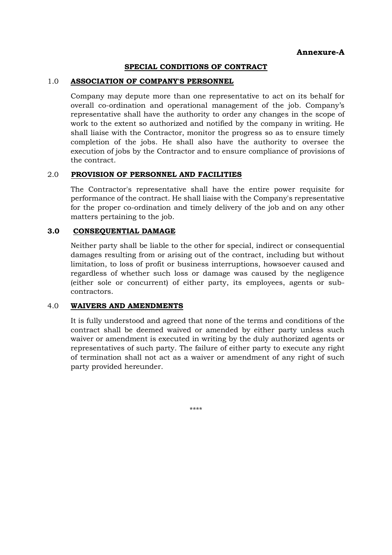### **SPECIAL CONDITIONS OF CONTRACT**

#### 1.0 **ASSOCIATION OF COMPANY'S PERSONNEL**

Company may depute more than one representative to act on its behalf for overall co-ordination and operational management of the job. Company's representative shall have the authority to order any changes in the scope of work to the extent so authorized and notified by the company in writing. He shall liaise with the Contractor, monitor the progress so as to ensure timely completion of the jobs. He shall also have the authority to oversee the execution of jobs by the Contractor and to ensure compliance of provisions of the contract.

### 2.0 **PROVISION OF PERSONNEL AND FACILITIES**

The Contractor's representative shall have the entire power requisite for performance of the contract. He shall liaise with the Company's representative for the proper co-ordination and timely delivery of the job and on any other matters pertaining to the job.

### **3.0 CONSEQUENTIAL DAMAGE**

Neither party shall be liable to the other for special, indirect or consequential damages resulting from or arising out of the contract, including but without limitation, to loss of profit or business interruptions, howsoever caused and regardless of whether such loss or damage was caused by the negligence (either sole or concurrent) of either party, its employees, agents or subcontractors.

#### 4.0 **WAIVERS AND AMENDMENTS**

It is fully understood and agreed that none of the terms and conditions of the contract shall be deemed waived or amended by either party unless such waiver or amendment is executed in writing by the duly authorized agents or representatives of such party. The failure of either party to execute any right of termination shall not act as a waiver or amendment of any right of such party provided hereunder.

\*\*\*\*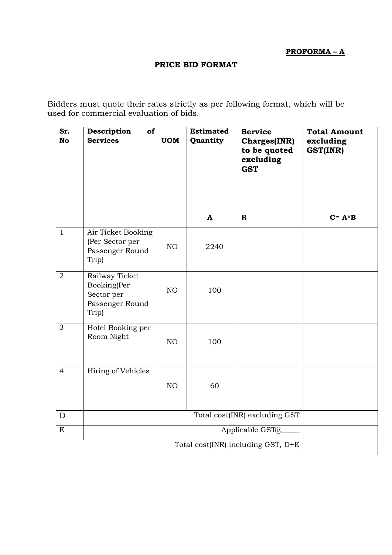**PROFORMA – A**

# **PRICE BID FORMAT**

Bidders must quote their rates strictly as per following format, which will be used for commercial evaluation of bids.

| Sr.<br><b>No</b> | Description<br>of<br><b>Services</b>                                    | <b>UOM</b> | <b>Estimated</b><br>Quantity<br>A | <b>Service</b><br><b>Charges(INR)</b><br>to be quoted<br>excluding<br><b>GST</b><br>B | <b>Total Amount</b><br>excluding<br>GST(INR)<br>$C = A * B$ |  |  |
|------------------|-------------------------------------------------------------------------|------------|-----------------------------------|---------------------------------------------------------------------------------------|-------------------------------------------------------------|--|--|
| $\mathbf{1}$     |                                                                         |            |                                   |                                                                                       |                                                             |  |  |
|                  | Air Ticket Booking<br>(Per Sector per<br>Passenger Round<br>Trip)       | NO         | 2240                              |                                                                                       |                                                             |  |  |
| $\overline{2}$   | Railway Ticket<br>Booking(Per<br>Sector per<br>Passenger Round<br>Trip) | NO         | 100                               |                                                                                       |                                                             |  |  |
| $\overline{3}$   | Hotel Booking per<br>Room Night                                         | NO         | 100                               |                                                                                       |                                                             |  |  |
| $\overline{4}$   | Hiring of Vehicles                                                      | NO         | 60                                |                                                                                       |                                                             |  |  |
| D                | Total cost(INR) excluding GST                                           |            |                                   |                                                                                       |                                                             |  |  |
| E                | Applicable GST@                                                         |            |                                   |                                                                                       |                                                             |  |  |
|                  | Total cost(INR) including GST, D+E                                      |            |                                   |                                                                                       |                                                             |  |  |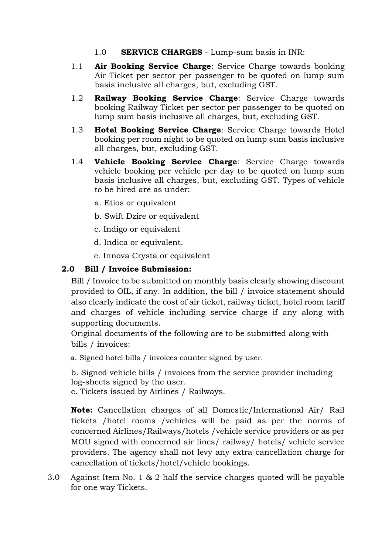- 1.0 **SERVICE CHARGES** Lump-sum basis in INR:
- 1.1 **Air Booking Service Charge**: Service Charge towards booking Air Ticket per sector per passenger to be quoted on lump sum basis inclusive all charges, but, excluding GST.
- 1.2 **Railway Booking Service Charge**: Service Charge towards booking Railway Ticket per sector per passenger to be quoted on lump sum basis inclusive all charges, but, excluding GST.
- 1.3 **Hotel Booking Service Charge**: Service Charge towards Hotel booking per room night to be quoted on lump sum basis inclusive all charges, but, excluding GST.
- 1.4 **Vehicle Booking Service Charge**: Service Charge towards vehicle booking per vehicle per day to be quoted on lump sum basis inclusive all charges, but, excluding GST. Types of vehicle to be hired are as under:
	- a. Etios or equivalent
	- b. Swift Dzire or equivalent
	- c. Indigo or equivalent
	- d. Indica or equivalent.
	- e. Innova Crysta or equivalent

# **2.0 Bill / Invoice Submission:**

Bill / Invoice to be submitted on monthly basis clearly showing discount provided to OIL, if any. In addition, the bill / invoice statement should also clearly indicate the cost of air ticket, railway ticket, hotel room tariff and charges of vehicle including service charge if any along with supporting documents.

Original documents of the following are to be submitted along with bills / invoices:

a. Signed hotel bills / invoices counter signed by user.

b. Signed vehicle bills / invoices from the service provider including log-sheets signed by the user.

c. Tickets issued by Airlines / Railways.

**Note:** Cancellation charges of all Domestic/International Air/ Rail tickets /hotel rooms /vehicles will be paid as per the norms of concerned Airlines/Railways/hotels /vehicle service providers or as per MOU signed with concerned air lines/ railway/ hotels/ vehicle service providers. The agency shall not levy any extra cancellation charge for cancellation of tickets/hotel/vehicle bookings.

3.0 Against Item No. 1 & 2 half the service charges quoted will be payable for one way Tickets.